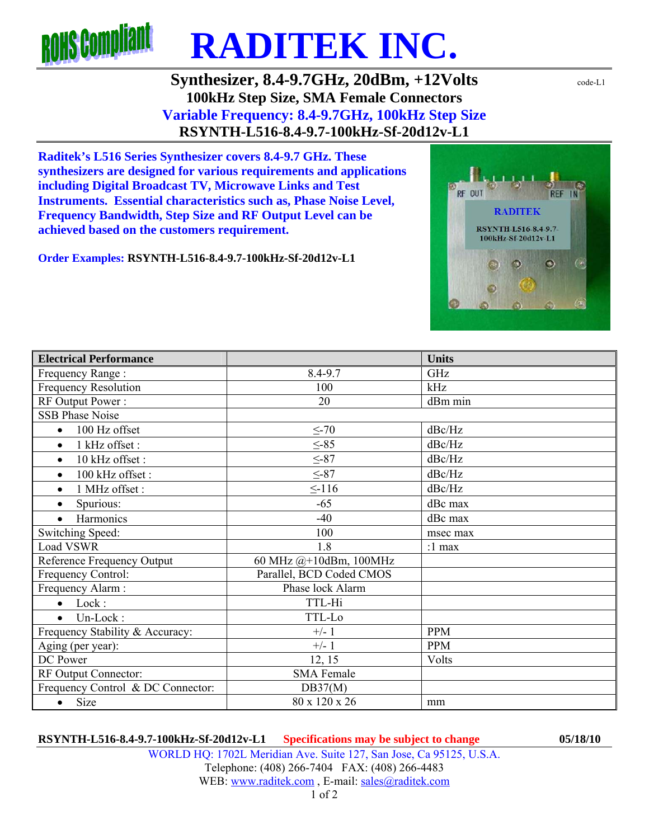

**Synthesizer, 8.4-9.7GHz, 20dBm, +12Volts** code-L1 **100kHz Step Size, SMA Female Connectors Variable Frequency: 8.4-9.7GHz, 100kHz Step Size RSYNTH-L516-8.4-9.7-100kHz-Sf-20d12v-L1** 

**Raditek's L516 Series Synthesizer covers 8.4-9.7 GHz. These synthesizers are designed for various requirements and applications including Digital Broadcast TV, Microwave Links and Test Instruments. Essential characteristics such as, Phase Noise Level, Frequency Bandwidth, Step Size and RF Output Level can be achieved based on the customers requirement.** 

**Order Examples: RSYNTH-L516-8.4-9.7-100kHz-Sf-20d12v-L1** 

| <b>Electrical Performance</b>     |                          | <b>Units</b> |
|-----------------------------------|--------------------------|--------------|
| Frequency Range:                  | 8.4-9.7                  | GHz          |
| <b>Frequency Resolution</b>       | 100                      | kHz          |
| RF Output Power:                  | 20                       | dBm min      |
| <b>SSB Phase Noise</b>            |                          |              |
| 100 Hz offset<br>$\bullet$        | $\leq$ -70               | dBc/Hz       |
| 1 kHz offset :<br>$\bullet$       | $\leq -85$               | dBc/Hz       |
| 10 kHz offset:<br>$\bullet$       | $\leq -87$               | dBc/Hz       |
| 100 kHz offset:<br>$\bullet$      | $\leq -87$               | dBc/Hz       |
| 1 MHz offset:<br>$\bullet$        | $\leq$ -116              | dBc/Hz       |
| Spurious:<br>$\bullet$            | $-65$                    | dBc max      |
| Harmonics                         | $-40$                    | dBc max      |
| Switching Speed:                  | 100                      | msec max     |
| Load VSWR                         | 1.8                      | :1 max       |
| Reference Frequency Output        | 60 MHz @+10dBm, 100MHz   |              |
| Frequency Control:                | Parallel, BCD Coded CMOS |              |
| Frequency Alarm:                  | Phase lock Alarm         |              |
| Lock:<br>$\bullet$                | TTL-Hi                   |              |
| Un-Lock:<br>$\bullet$             | TTL-Lo                   |              |
| Frequency Stability & Accuracy:   | $+/- 1$                  | <b>PPM</b>   |
| Aging (per year):                 | $+/- 1$                  | <b>PPM</b>   |
| DC Power                          | 12, 15                   | Volts        |
| RF Output Connector:              | <b>SMA Female</b>        |              |
| Frequency Control & DC Connector: | DB37(M)                  |              |
| $\bullet$ Size                    | 80 x 120 x 26            | mm           |

WORLD HQ: 1702L Meridian Ave. Suite 127, San Jose, Ca 95125, U.S.A. Telephone: (408) 266-7404 FAX: (408) 266-4483 WEB: www.raditek.com, E-mail: sales@raditek.com

1 of 2

RF OUT

**RADITEK** RSYNTH-L516-8.4-9.7-100kHz-Sf-20d12v-L1

Ω